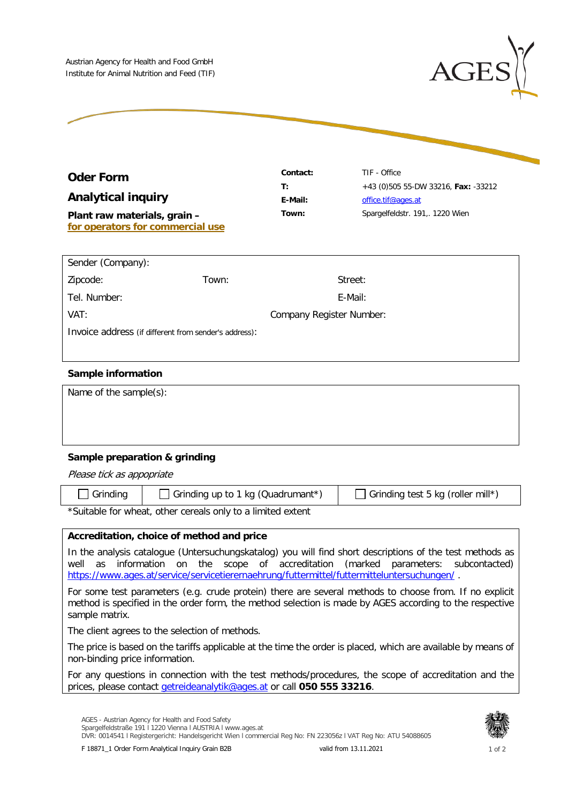

| <b>Oder Form</b> |  |
|------------------|--|
|------------------|--|

**Analytical inquiry**

**Plant raw materials, grain – for operators for commercial use**

**Contact:** TIF - Office **T:** +43 (0)505 55-DW 33216, **Fax:** -33212 **E-Mail:** [office.tif@ages.at](mailto:office.tif@ages.at) **Town:** Spargelfeldstr. 191,. 1220 Wien

| Sender (Company):                                     |       |                                 |  |  |
|-------------------------------------------------------|-------|---------------------------------|--|--|
| Zipcode:                                              | Town: | Street:                         |  |  |
| Tel. Number:                                          |       | E-Mail:                         |  |  |
| VAT:                                                  |       | <b>Company Register Number:</b> |  |  |
| Invoice address (if different from sender's address): |       |                                 |  |  |

## **Sample information**

| Name of the sample(s): |  |
|------------------------|--|
|------------------------|--|

# **Sample preparation & grinding**

Please tick as appopriate

| Grinding                                  | Grinding up to 1 kg (Quadrumant*) | $\Box$ Grinding test 5 kg (roller mill*) |
|-------------------------------------------|-----------------------------------|------------------------------------------|
| $\sim$ $\sim$ $\sim$ $\sim$ $\sim$ $\sim$ |                                   |                                          |

\*Suitable for wheat, other cereals only to a limited extent

### **Accreditation, choice of method and price**

In the analysis catalogue (Untersuchungskatalog) you will find short descriptions of the test methods as well as information on the scope of accreditation (marked parameters: subcontacted) <https://www.ages.at/service/servicetierernaehrung/futtermittel/futtermitteluntersuchungen/>.

For some test parameters (e.g. crude protein) there are several methods to choose from. If no explicit method is specified in the order form, the method selection is made by AGES according to the respective sample matrix.

The client agrees to the selection of methods.

The price is based on the tariffs applicable at the time the order is placed, which are available by means of non-binding price information.

For any questions in connection with the test methods/procedures, the scope of accreditation and the prices, please contact [getreideanalytik@ages.at](mailto:getreideanalytik@ages.at) or call **050 555 33216**.

AGES - Austrian Agency for Health and Food Safety Spargelfeldstraße 191 | 1220 Vienna | AUSTRIA | www.ages.at DVR: 0014541 l Registergericht: Handelsgericht Wien l commercial Reg No: FN 223056z l VAT Reg No: ATU 54088605



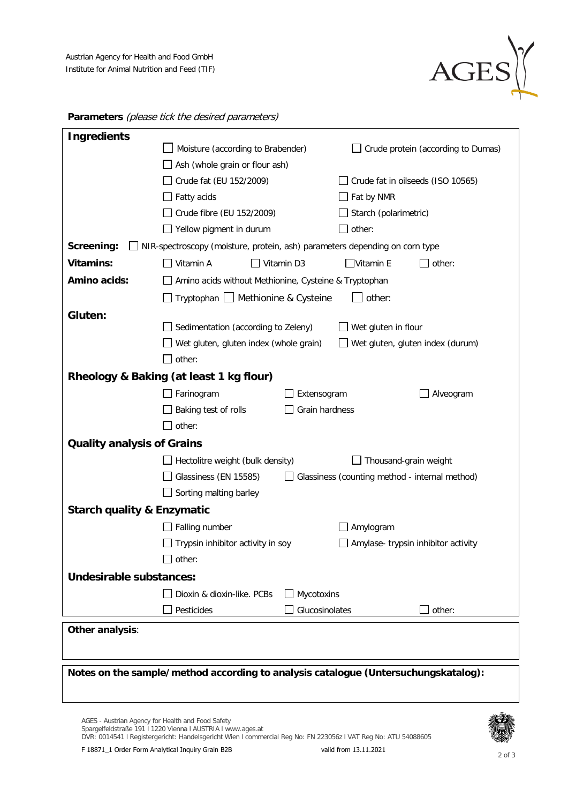

| <b>Ingredients</b>                    |                                                                             |                |                                                |                                     |  |
|---------------------------------------|-----------------------------------------------------------------------------|----------------|------------------------------------------------|-------------------------------------|--|
|                                       | Moisture (according to Brabender)                                           |                | Crude protein (according to Dumas)             |                                     |  |
|                                       | Ash (whole grain or flour ash)                                              |                |                                                |                                     |  |
|                                       | Crude fat (EU 152/2009)                                                     |                | Crude fat in oilseeds (ISO 10565)              |                                     |  |
|                                       | Fatty acids                                                                 |                | Fat by NMR                                     |                                     |  |
|                                       | Crude fibre (EU 152/2009)                                                   |                | Starch (polarimetric)                          |                                     |  |
|                                       | Yellow pigment in durum                                                     |                | other:                                         |                                     |  |
| Screening:                            | NIR-spectroscopy (moisture, protein, ash) parameters depending on corn type |                |                                                |                                     |  |
| <b>Vitamins:</b>                      | Vitamin A                                                                   | Vitamin D3     | $\Box$ Vitamin E                               | other:                              |  |
| <b>Amino acids:</b>                   | Amino acids without Methionine, Cysteine & Tryptophan                       |                |                                                |                                     |  |
|                                       | Tryptophan   Methionine & Cysteine                                          |                | other:                                         |                                     |  |
| Gluten:                               |                                                                             |                |                                                |                                     |  |
|                                       | Sedimentation (according to Zeleny)                                         |                | Wet gluten in flour                            |                                     |  |
|                                       | Wet gluten, gluten index (whole grain)                                      |                |                                                | Wet gluten, gluten index (durum)    |  |
|                                       | other:                                                                      |                |                                                |                                     |  |
|                                       | Rheology & Baking (at least 1 kg flour)                                     |                |                                                |                                     |  |
|                                       | Farinogram                                                                  | Extensogram    |                                                | Alveogram                           |  |
|                                       | Baking test of rolls                                                        | Grain hardness |                                                |                                     |  |
|                                       | other:                                                                      |                |                                                |                                     |  |
| <b>Quality analysis of Grains</b>     |                                                                             |                |                                                |                                     |  |
|                                       | Hectolitre weight (bulk density)                                            |                | Thousand-grain weight                          |                                     |  |
|                                       | Glassiness (EN 15585)                                                       |                | Glassiness (counting method - internal method) |                                     |  |
|                                       | Sorting malting barley                                                      |                |                                                |                                     |  |
| <b>Starch quality &amp; Enzymatic</b> |                                                                             |                |                                                |                                     |  |
|                                       | Falling number                                                              |                | Amylogram                                      |                                     |  |
|                                       | Trypsin inhibitor activity in soy                                           |                |                                                | Amylase- trypsin inhibitor activity |  |
|                                       | other:                                                                      |                |                                                |                                     |  |
| Undesirable substances:               |                                                                             |                |                                                |                                     |  |
|                                       | Dioxin & dioxin-like. PCBs                                                  | Mycotoxins     |                                                |                                     |  |
|                                       | Pesticides                                                                  | Glucosinolates |                                                | other:                              |  |
|                                       |                                                                             |                |                                                |                                     |  |
| Other analysis:                       |                                                                             |                |                                                |                                     |  |
|                                       |                                                                             |                |                                                |                                     |  |

**Parameters** (please tick the desired parameters)

**Notes on the sample/method according to analysis catalogue (Untersuchungskatalog):**

AGES - Austrian Agency for Health and Food Safety Spargelfeldstraße 191 l 1220 Vienna l AUSTRIA l www.ages.at DVR: 0014541 l Registergericht: Handelsgericht Wien l commercial Reg No: FN 223056z l VAT Reg No: ATU 54088605